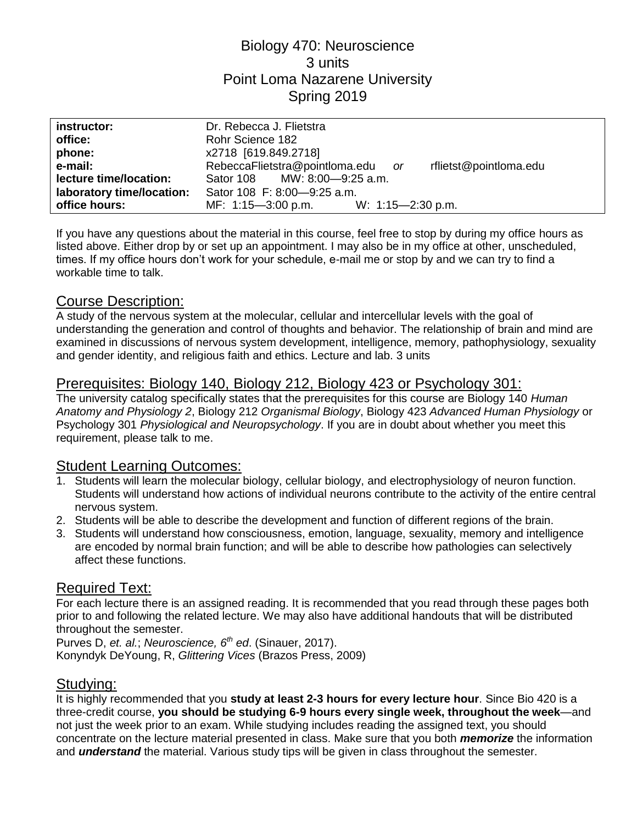## Biology 470: Neuroscience 3 units Point Loma Nazarene University Spring 2019

| instructor:               | Dr. Rebecca J. Flietstra                                    |
|---------------------------|-------------------------------------------------------------|
| office:                   | Rohr Science 182                                            |
| phone:                    | x2718 [619.849.2718]                                        |
| e-mail:                   | RebeccaFlietstra@pointloma.edu or<br>rflietst@pointloma.edu |
| lecture time/location:    | Sator 108 MW: 8:00-9:25 a.m.                                |
| laboratory time/location: | Sator 108 F: 8:00-9:25 a.m.                                 |
| office hours:             | MF: 1:15-3:00 p.m. W: 1:15-2:30 p.m.                        |

If you have any questions about the material in this course, feel free to stop by during my office hours as listed above. Either drop by or set up an appointment. I may also be in my office at other, unscheduled, times. If my office hours don't work for your schedule, e-mail me or stop by and we can try to find a workable time to talk.

#### Course Description:

A study of the nervous system at the molecular, cellular and intercellular levels with the goal of understanding the generation and control of thoughts and behavior. The relationship of brain and mind are examined in discussions of nervous system development, intelligence, memory, pathophysiology, sexuality and gender identity, and religious faith and ethics. Lecture and lab. 3 units

## Prerequisites: Biology 140, Biology 212, Biology 423 or Psychology 301:

The university catalog specifically states that the prerequisites for this course are Biology 140 *Human Anatomy and Physiology 2*, Biology 212 *Organismal Biology*, Biology 423 *Advanced Human Physiology* or Psychology 301 *Physiological and Neuropsychology*. If you are in doubt about whether you meet this requirement, please talk to me.

#### **Student Learning Outcomes:**

- 1. Students will learn the molecular biology, cellular biology, and electrophysiology of neuron function. Students will understand how actions of individual neurons contribute to the activity of the entire central nervous system.
- 2. Students will be able to describe the development and function of different regions of the brain.
- 3. Students will understand how consciousness, emotion, language, sexuality, memory and intelligence are encoded by normal brain function; and will be able to describe how pathologies can selectively affect these functions.

#### Required Text:

For each lecture there is an assigned reading. It is recommended that you read through these pages both prior to and following the related lecture. We may also have additional handouts that will be distributed throughout the semester.

Purves D, *et. al.*; *Neuroscience, 6 th ed*. (Sinauer, 2017). Konyndyk DeYoung, R, *Glittering Vices* (Brazos Press, 2009)

#### Studying:

It is highly recommended that you **study at least 2-3 hours for every lecture hour**. Since Bio 420 is a three-credit course, **you should be studying 6-9 hours every single week, throughout the week**—and not just the week prior to an exam. While studying includes reading the assigned text, you should concentrate on the lecture material presented in class. Make sure that you both *memorize* the information and *understand* the material. Various study tips will be given in class throughout the semester.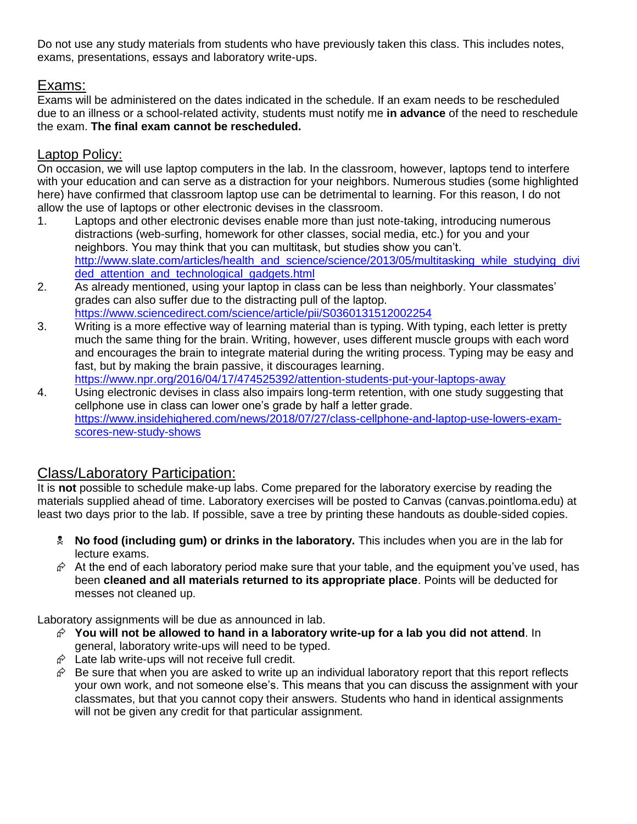Do not use any study materials from students who have previously taken this class. This includes notes, exams, presentations, essays and laboratory write-ups.

## Exams:

Exams will be administered on the dates indicated in the schedule. If an exam needs to be rescheduled due to an illness or a school-related activity, students must notify me **in advance** of the need to reschedule the exam. **The final exam cannot be rescheduled.**

#### Laptop Policy:

On occasion, we will use laptop computers in the lab. In the classroom, however, laptops tend to interfere with your education and can serve as a distraction for your neighbors. Numerous studies (some highlighted here) have confirmed that classroom laptop use can be detrimental to learning. For this reason, I do not allow the use of laptops or other electronic devises in the classroom.

- 1. Laptops and other electronic devises enable more than just note-taking, introducing numerous distractions (web-surfing, homework for other classes, social media, etc.) for you and your neighbors. You may think that you can multitask, but studies show you can't. [http://www.slate.com/articles/health\\_and\\_science/science/2013/05/multitasking\\_while\\_studying\\_divi](http://www.slate.com/articles/health_and_science/science/2013/05/multitasking_while_studying_divided_attention_and_technological_gadgets.html) ded attention and technological gadgets.html
- 2. As already mentioned, using your laptop in class can be less than neighborly. Your classmates' grades can also suffer due to the distracting pull of the laptop. <https://www.sciencedirect.com/science/article/pii/S0360131512002254>
- 3. Writing is a more effective way of learning material than is typing. With typing, each letter is pretty much the same thing for the brain. Writing, however, uses different muscle groups with each word and encourages the brain to integrate material during the writing process. Typing may be easy and fast, but by making the brain passive, it discourages learning. <https://www.npr.org/2016/04/17/474525392/attention-students-put-your-laptops-away>
- 4. Using electronic devises in class also impairs long-term retention, with one study suggesting that cellphone use in class can lower one's grade by half a letter grade. [https://www.insidehighered.com/news/2018/07/27/class-cellphone-and-laptop-use-lowers-exam](https://www.insidehighered.com/news/2018/07/27/class-cellphone-and-laptop-use-lowers-exam-scores-new-study-shows)[scores-new-study-shows](https://www.insidehighered.com/news/2018/07/27/class-cellphone-and-laptop-use-lowers-exam-scores-new-study-shows)

## Class/Laboratory Participation:

It is **not** possible to schedule make-up labs. Come prepared for the laboratory exercise by reading the materials supplied ahead of time. Laboratory exercises will be posted to Canvas (canvas.pointloma.edu) at least two days prior to the lab. If possible, save a tree by printing these handouts as double-sided copies.

- **No food (including gum) or drinks in the laboratory.** This includes when you are in the lab for lecture exams.
- $\hat{\varphi}$  At the end of each laboratory period make sure that your table, and the equipment you've used, has been **cleaned and all materials returned to its appropriate place**. Points will be deducted for messes not cleaned up.

Laboratory assignments will be due as announced in lab.

- **You will not be allowed to hand in a laboratory write-up for a lab you did not attend**. In general, laboratory write-ups will need to be typed.
- $\hat{\varphi}$  Late lab write-ups will not receive full credit.
- $\hat{\varphi}$  Be sure that when you are asked to write up an individual laboratory report that this report reflects your own work, and not someone else's. This means that you can discuss the assignment with your classmates, but that you cannot copy their answers. Students who hand in identical assignments will not be given any credit for that particular assignment.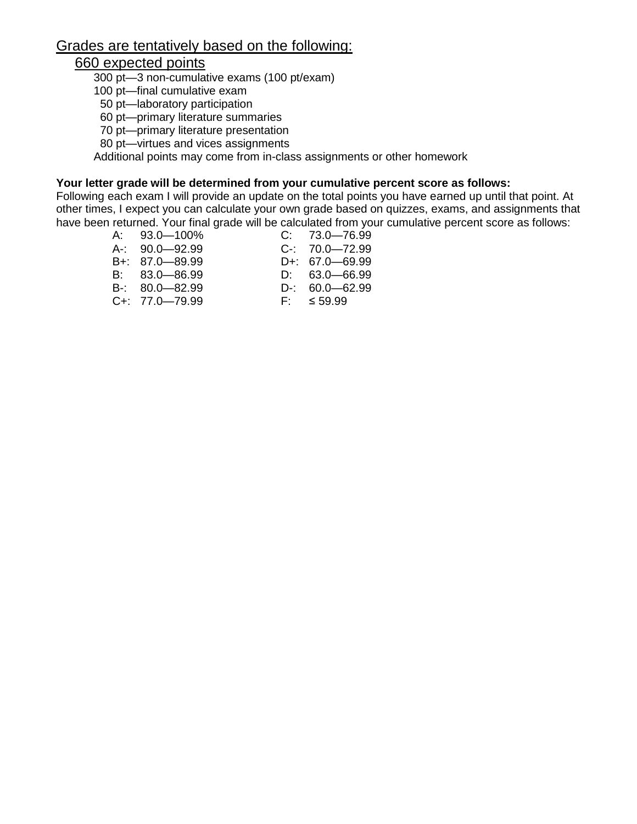## Grades are tentatively based on the following:

### 660 expected points

300 pt—3 non-cumulative exams (100 pt/exam)

100 pt—final cumulative exam

50 pt—laboratory participation

60 pt—primary literature summaries

70 pt—primary literature presentation

80 pt—virtues and vices assignments

Additional points may come from in-class assignments or other homework

#### **Your letter grade will be determined from your cumulative percent score as follows:**

Following each exam I will provide an update on the total points you have earned up until that point. At other times, I expect you can calculate your own grade based on quizzes, exams, and assignments that have been returned. Your final grade will be calculated from your cumulative percent score as follows:

| $A: 93.0 - 100\%$    | $C: 73.0 - 76.99$    |
|----------------------|----------------------|
| A-: 90.0-92.99       | $C-$ : 70.0-72.99    |
| $B + 87.0 - 89.99$   | $D+$ : 67.0 - 69.99  |
| $B: 83.0 - 86.99$    | $D: 63.0 - 66.99$    |
| $B-$ : 80.0-82.99    | $D-$ : 60.0 $-62.99$ |
| $C_{+}$ : 77.0-79.99 | $F: \leq 59.99$      |
|                      |                      |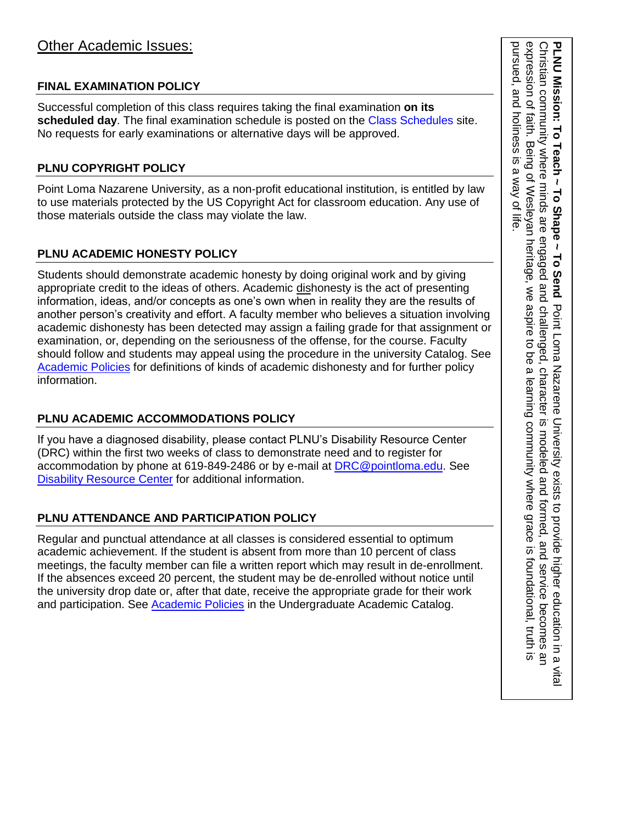## **FINAL EXAMINATION POLICY**

Successful completion of this class requires taking the final examination **on its scheduled day**. The final examination schedule is posted on the Class Schedules site. No requests for early examinations or alternative days will be approved.

## **PLNU COPYRIGHT POLICY**

Point Loma Nazarene University, as a non-profit educational institution, is entitled by law to use materials protected by the US Copyright Act for classroom education. Any use of those materials outside the class may violate the law.

## **PLNU ACADEMIC HONESTY POLICY**

Students should demonstrate academic honesty by doing original work and by giving appropriate credit to the ideas of others. Academic dishonesty is the act of presenting information, ideas, and/or concepts as one's own when in reality they are the results of another person's creativity and effort. A faculty member who believes a situation involving academic dishonesty has been detected may assign a failing grade for that assignment or examination, or, depending on the seriousness of the offense, for the course. Faculty should follow and students may appeal using the procedure in the university Catalog. See [Academic Policies](http://catalog.pointloma.edu/content.php?catoid=18&navoid=1278) for definitions of kinds of academic dishonesty and for further policy information.

## **PLNU ACADEMIC ACCOMMODATIONS POLICY**

If you have a diagnosed disability, please contact PLNU's Disability Resource Center (DRC) within the first two weeks of class to demonstrate need and to register for accommodation by phone at 619-849-2486 or by e-mail at [DRC@pointloma.edu.](mailto:DRC@pointloma.edu) See [Disability Resource Center](http://www.pointloma.edu/experience/offices/administrative-offices/academic-advising-office/disability-resource-center) for additional information.

## **PLNU ATTENDANCE AND PARTICIPATION POLICY**

Regular and punctual attendance at all classes is considered essential to optimum academic achievement. If the student is absent from more than 10 percent of class meetings, the faculty member can file a written report which may result in de-enrollment. If the absences exceed 20 percent, the student may be de-enrolled without notice until the university drop date or, after that date, receive the appropriate grade for their work and participation. See [Academic Policies](http://catalog.pointloma.edu/content.php?catoid=18&navoid=1278) in the Undergraduate Academic Catalog.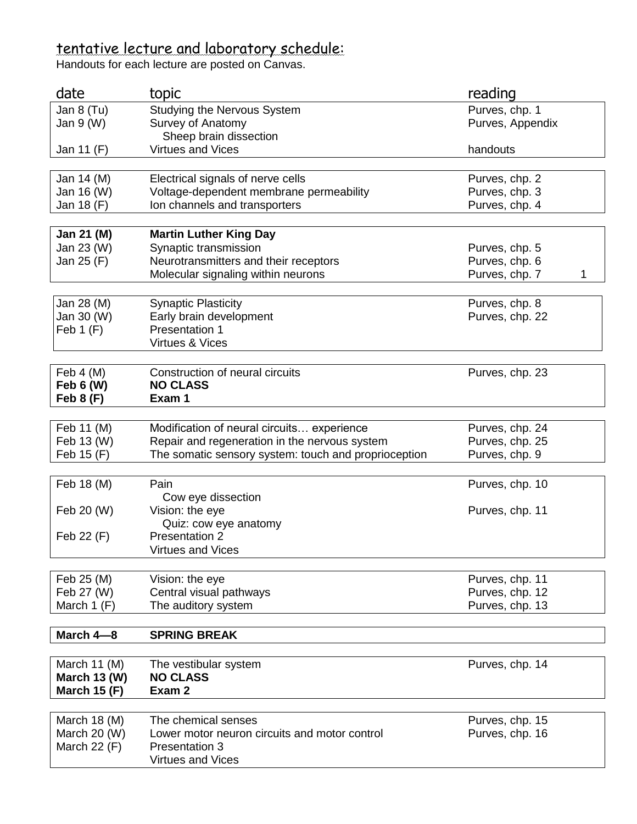# tentative lecture and laboratory schedule:

Handouts for each lecture are posted on Canvas.

| date                | topic                                                | reading             |
|---------------------|------------------------------------------------------|---------------------|
| Jan 8 (Tu)          | Studying the Nervous System                          | Purves, chp. 1      |
| Jan $9(N)$          | Survey of Anatomy                                    | Purves, Appendix    |
|                     | Sheep brain dissection                               |                     |
| Jan 11 (F)          | <b>Virtues and Vices</b>                             | handouts            |
|                     |                                                      |                     |
| Jan 14 (M)          | Electrical signals of nerve cells                    | Purves, chp. 2      |
| Jan 16 (W)          | Voltage-dependent membrane permeability              | Purves, chp. 3      |
| Jan 18 (F)          | Ion channels and transporters                        | Purves, chp. 4      |
|                     |                                                      |                     |
| Jan 21 (M)          | <b>Martin Luther King Day</b>                        |                     |
| Jan 23 (W)          | Synaptic transmission                                | Purves, chp. 5      |
| Jan 25 (F)          | Neurotransmitters and their receptors                | Purves, chp. 6      |
|                     | Molecular signaling within neurons                   | Purves, chp. 7<br>1 |
| Jan 28 (M)          | <b>Synaptic Plasticity</b>                           | Purves, chp. 8      |
| Jan 30 (W)          | Early brain development                              | Purves, chp. 22     |
| Feb $1(F)$          | Presentation 1                                       |                     |
|                     | Virtues & Vices                                      |                     |
|                     |                                                      |                     |
| Feb $4(M)$          | Construction of neural circuits                      | Purves, chp. 23     |
| <b>Feb 6 (W)</b>    | <b>NO CLASS</b>                                      |                     |
| Feb $8(F)$          | Exam 1                                               |                     |
|                     |                                                      |                     |
| Feb 11 (M)          | Modification of neural circuits experience           | Purves, chp. 24     |
| Feb 13 (W)          | Repair and regeneration in the nervous system        | Purves, chp. 25     |
| Feb 15 (F)          | The somatic sensory system: touch and proprioception | Purves, chp. 9      |
|                     |                                                      |                     |
| Feb 18 (M)          | Pain                                                 | Purves, chp. 10     |
|                     | Cow eye dissection                                   |                     |
| Feb 20 (W)          | Vision: the eye                                      | Purves, chp. 11     |
|                     | Quiz: cow eye anatomy                                |                     |
| Feb 22 (F)          | <b>Presentation 2</b>                                |                     |
|                     | <b>Virtues and Vices</b>                             |                     |
|                     |                                                      |                     |
| Feb 25 (M)          | Vision: the eye                                      | Purves, chp. 11     |
| Feb 27 (W)          | Central visual pathways                              | Purves, chp. 12     |
| March $1(F)$        | The auditory system                                  | Purves, chp. 13     |
| March 4-8           | <b>SPRING BREAK</b>                                  |                     |
|                     |                                                      |                     |
| March 11 (M)        | The vestibular system                                | Purves, chp. 14     |
| <b>March 13 (W)</b> | <b>NO CLASS</b>                                      |                     |
| <b>March 15 (F)</b> | Exam 2                                               |                     |
|                     |                                                      |                     |
| March 18 (M)        | The chemical senses                                  | Purves, chp. 15     |
| March 20 (W)        | Lower motor neuron circuits and motor control        | Purves, chp. 16     |
| March 22 $(F)$      | <b>Presentation 3</b>                                |                     |
|                     | <b>Virtues and Vices</b>                             |                     |